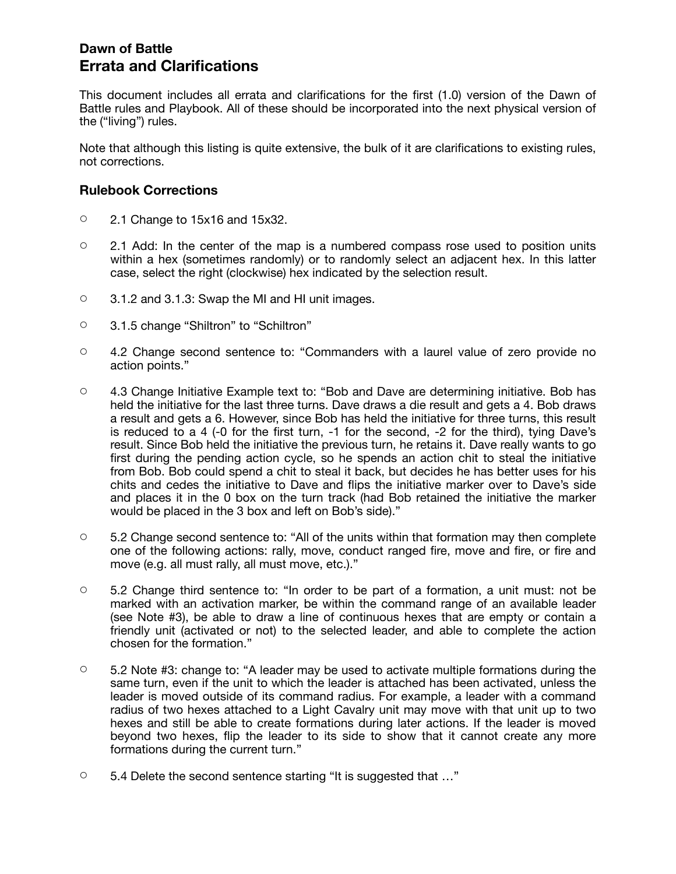## **Dawn of Battle Errata and Clarifications**

This document includes all errata and clarifications for the first (1.0) version of the Dawn of Battle rules and Playbook. All of these should be incorporated into the next physical version of the ("living") rules.

Note that although this listing is quite extensive, the bulk of it are clarifications to existing rules, not corrections.

#### **Rulebook Corrections**

- 2.1 Change to 15x16 and 15x32.
- $\circ$  2.1 Add: In the center of the map is a numbered compass rose used to position units within a hex (sometimes randomly) or to randomly select an adjacent hex. In this latter case, select the right (clockwise) hex indicated by the selection result.
- 3.1.2 and 3.1.3: Swap the MI and HI unit images.
- 3.1.5 change "Shiltron" to "Schiltron"
- 4.2 Change second sentence to: "Commanders with a laurel value of zero provide no action points."
- 4.3 Change Initiative Example text to: "Bob and Dave are determining initiative. Bob has held the initiative for the last three turns. Dave draws a die result and gets a 4. Bob draws a result and gets a 6. However, since Bob has held the initiative for three turns, this result is reduced to a 4 (-0 for the first turn, -1 for the second, -2 for the third), tying Dave's result. Since Bob held the initiative the previous turn, he retains it. Dave really wants to go first during the pending action cycle, so he spends an action chit to steal the initiative from Bob. Bob could spend a chit to steal it back, but decides he has better uses for his chits and cedes the initiative to Dave and flips the initiative marker over to Dave's side and places it in the 0 box on the turn track (had Bob retained the initiative the marker would be placed in the 3 box and left on Bob's side)."
- $\circ$  5.2 Change second sentence to: "All of the units within that formation may then complete one of the following actions: rally, move, conduct ranged fire, move and fire, or fire and move (e.g. all must rally, all must move, etc.)."
- $\circ$  5.2 Change third sentence to: "In order to be part of a formation, a unit must: not be marked with an activation marker, be within the command range of an available leader (see Note #3), be able to draw a line of continuous hexes that are empty or contain a friendly unit (activated or not) to the selected leader, and able to complete the action chosen for the formation."
- 5.2 Note #3: change to: "A leader may be used to activate multiple formations during the same turn, even if the unit to which the leader is attached has been activated, unless the leader is moved outside of its command radius. For example, a leader with a command radius of two hexes attached to a Light Cavalry unit may move with that unit up to two hexes and still be able to create formations during later actions. If the leader is moved beyond two hexes, flip the leader to its side to show that it cannot create any more formations during the current turn."
- 5.4 Delete the second sentence starting "It is suggested that …"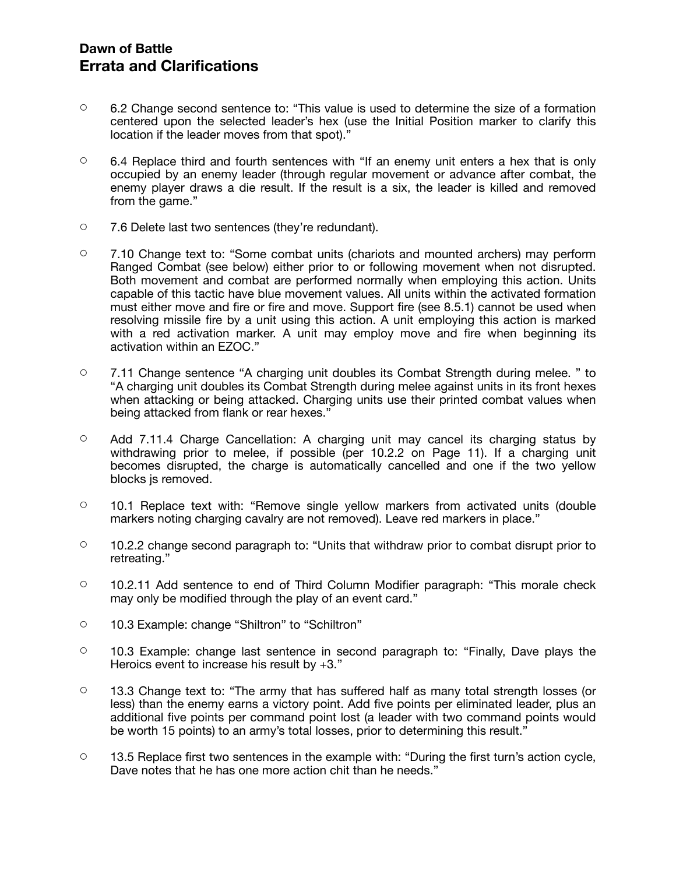### **Dawn of Battle Errata and Clarifications**

- $\degree$  6.2 Change second sentence to: "This value is used to determine the size of a formation centered upon the selected leader's hex (use the Initial Position marker to clarify this location if the leader moves from that spot)."
- $\degree$  6.4 Replace third and fourth sentences with "If an enemy unit enters a hex that is only occupied by an enemy leader (through regular movement or advance after combat, the enemy player draws a die result. If the result is a six, the leader is killed and removed from the game."
- 7.6 Delete last two sentences (they're redundant).
- 7.10 Change text to: "Some combat units (chariots and mounted archers) may perform Ranged Combat (see below) either prior to or following movement when not disrupted. Both movement and combat are performed normally when employing this action. Units capable of this tactic have blue movement values. All units within the activated formation must either move and fire or fire and move. Support fire (see 8.5.1) cannot be used when resolving missile fire by a unit using this action. A unit employing this action is marked with a red activation marker. A unit may employ move and fire when beginning its activation within an EZOC."
- 7.11 Change sentence "A charging unit doubles its Combat Strength during melee. " to "A charging unit doubles its Combat Strength during melee against units in its front hexes when attacking or being attacked. Charging units use their printed combat values when being attacked from flank or rear hexes."
- Add 7.11.4 Charge Cancellation: A charging unit may cancel its charging status by withdrawing prior to melee, if possible (per 10.2.2 on Page 11). If a charging unit becomes disrupted, the charge is automatically cancelled and one if the two yellow blocks js removed.
- $\circ$  10.1 Replace text with: "Remove single yellow markers from activated units (double markers noting charging cavalry are not removed). Leave red markers in place."
- 10.2.2 change second paragraph to: "Units that withdraw prior to combat disrupt prior to retreating."
- 10.2.11 Add sentence to end of Third Column Modifier paragraph: "This morale check may only be modified through the play of an event card."
- 10.3 Example: change "Shiltron" to "Schiltron"
- 10.3 Example: change last sentence in second paragraph to: "Finally, Dave plays the Heroics event to increase his result by +3."
- $\circ$  13.3 Change text to: "The army that has suffered half as many total strength losses (or less) than the enemy earns a victory point. Add five points per eliminated leader, plus an additional five points per command point lost (a leader with two command points would be worth 15 points) to an army's total losses, prior to determining this result."
- $\circ$  13.5 Replace first two sentences in the example with: "During the first turn's action cycle, Dave notes that he has one more action chit than he needs."